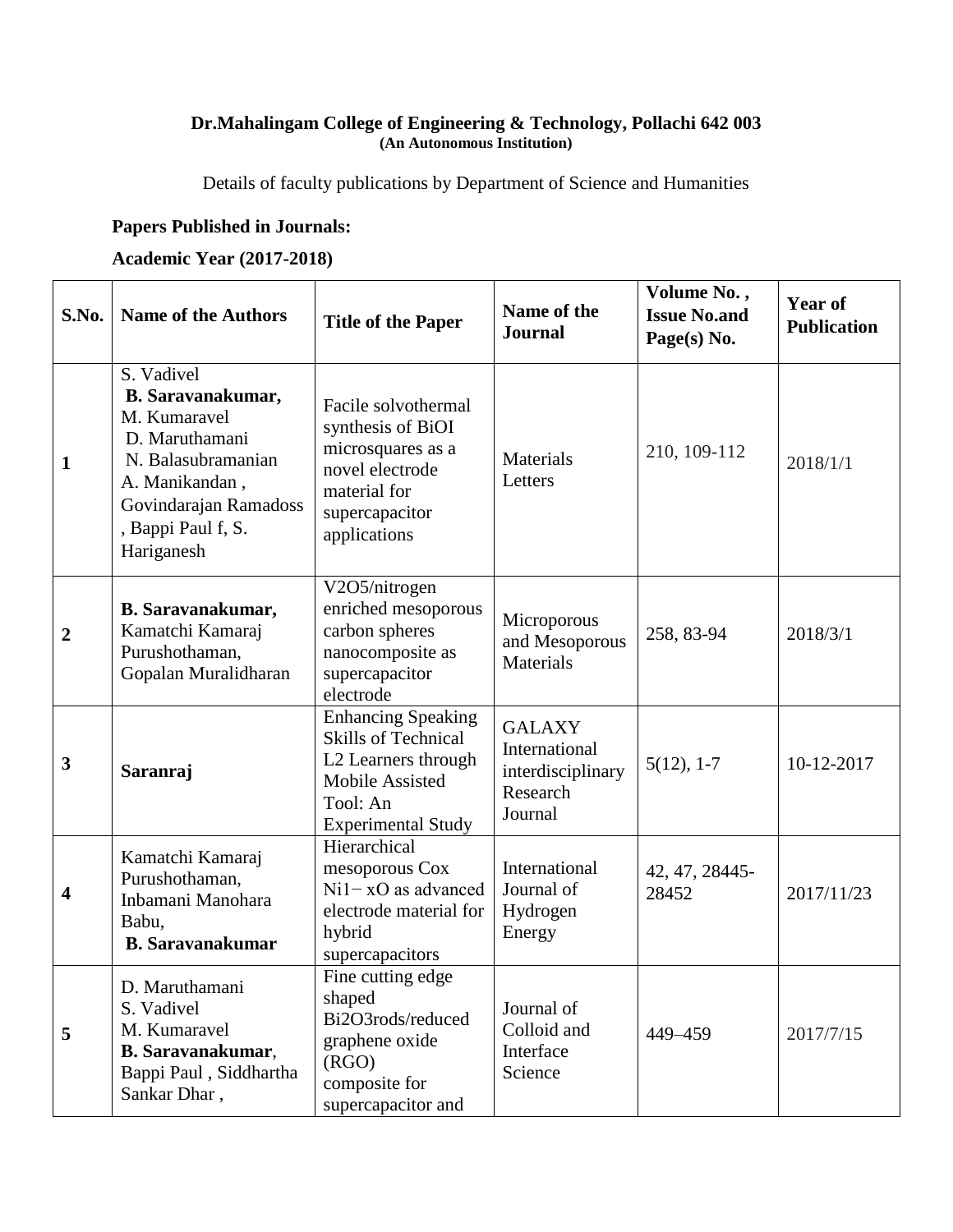## **Dr.Mahalingam College of Engineering & Technology, Pollachi 642 003 (An Autonomous Institution)**

Details of faculty publications by Department of Science and Humanities

## **Papers Published in Journals:**

## **Academic Year (2017-2018)**

| S.No.          | <b>Name of the Authors</b>                                                                                                                                                    | <b>Title of the Paper</b>                                                                                                                  | Name of the<br><b>Journal</b>                                              | Volume No.,<br><b>Issue No.and</b><br>Page(s) No. | <b>Year of</b><br><b>Publication</b> |
|----------------|-------------------------------------------------------------------------------------------------------------------------------------------------------------------------------|--------------------------------------------------------------------------------------------------------------------------------------------|----------------------------------------------------------------------------|---------------------------------------------------|--------------------------------------|
| $\mathbf{1}$   | S. Vadivel<br><b>B.</b> Saravanakumar,<br>M. Kumaravel<br>D. Maruthamani<br>N. Balasubramanian<br>A. Manikandan,<br>Govindarajan Ramadoss<br>, Bappi Paul f, S.<br>Hariganesh | Facile solvothermal<br>synthesis of BiOI<br>microsquares as a<br>novel electrode<br>material for<br>supercapacitor<br>applications         | Materials<br>Letters                                                       | 210, 109-112                                      | 2018/1/1                             |
| $\overline{2}$ | <b>B.</b> Saravanakumar,<br>Kamatchi Kamaraj<br>Purushothaman,<br>Gopalan Muralidharan                                                                                        | V2O5/nitrogen<br>enriched mesoporous<br>carbon spheres<br>nanocomposite as<br>supercapacitor<br>electrode                                  | Microporous<br>and Mesoporous<br><b>Materials</b>                          | 258, 83-94                                        | 2018/3/1                             |
| $\mathbf{3}$   | <b>Saranraj</b>                                                                                                                                                               | <b>Enhancing Speaking</b><br><b>Skills of Technical</b><br>L2 Learners through<br>Mobile Assisted<br>Tool: An<br><b>Experimental Study</b> | <b>GALAXY</b><br>International<br>interdisciplinary<br>Research<br>Journal | $5(12), 1-7$                                      | 10-12-2017                           |
| 4              | Kamatchi Kamaraj<br>Purushothaman,<br>Inbamani Manohara<br>Babu,<br><b>B.</b> Saravanakumar                                                                                   | Hierarchical<br>mesoporous Cox<br>$Ni1-xO$ as advanced<br>electrode material for<br>hybrid<br>supercapacitors                              | International<br>Journal of<br>Hydrogen<br>Energy                          | 42, 47, 28445-<br>28452                           | 2017/11/23                           |
| 5              | D. Maruthamani<br>S. Vadivel<br>M. Kumaravel<br><b>B.</b> Saravanakumar,<br>Bappi Paul, Siddhartha<br>Sankar Dhar,                                                            | Fine cutting edge<br>shaped<br>Bi2O3rods/reduced<br>graphene oxide<br>(RGO)<br>composite for<br>supercapacitor and                         | Journal of<br>Colloid and<br>Interface<br>Science                          | 449-459                                           | 2017/7/15                            |